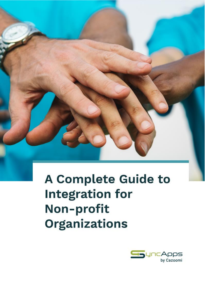

**A Complete Guide to Integration for** Non-profit **Organizations** 

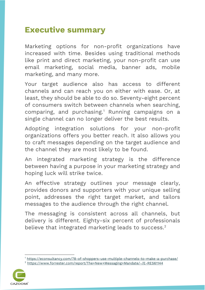## **Executive summary**

Marketing options for non-profit organizations have increased with time. Besides using traditional methods like print and direct marketing, your non-profit can use email marketing, social media, banner ads, mobile marketing, and many more.

Your target audience also has access to different channels and can reach you on either with ease. Or, at least, they should be able to do so. Seventy-eight percent of consumers switch between channels when searching, comparing, and purchasing.<sup>1</sup> Running campaigns on a single channel can no longer deliver the best results.

Adopting integration solutions for your non-profit organizations offers you better reach. It also allows you to craft messages depending on the target audience and the channel they are most likely to be found.

An integrated marketing strategy is the difference between having a purpose in your marketing strategy and hoping luck will strike twice.

An effective strategy outlines your message clearly, provides donors and supporters with your unique selling point, addresses the right target market, and tailors messages to the audience through the right channel.

The messaging is consistent across all channels, but delivery is different. Eighty-six percent of professionals believe that integrated marketing leads to success.<sup>2</sup>

<sup>2</sup> <https://www.forrester.com/report/The+New+Messaging+Mandate/-/E-RES61144>



<sup>&</sup>lt;sup>1</sup> <https://econsultancy.com/78-of-shoppers-use-multiple-channels-to-make-a-purchase/>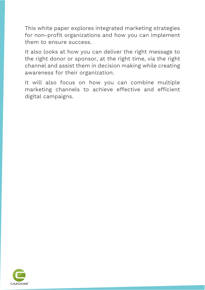This white paper explores integrated marketing strategies for non-profit organizations and how you can implement them to ensure success.

It also looks at how you can deliver the right message to the right donor or sponsor, at the right time, via the right channel and assist them in decision making while creating awareness for their organization.

It will also focus on how you can combine multiple marketing channels to achieve effective and efficient digital campaigns.

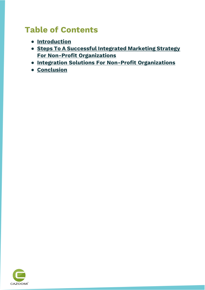## **Table of Contents**

- **[Introduction](#page-4-0)**
- **[Steps To A Successful Integrated Marketing Strategy](#page-7-0)  [For Non-Profit Organizations](#page-7-0)**
- **[Integration Solutions For Non-Profit Organizations](#page-19-0)**
- **[Conclusion](#page-24-0)**

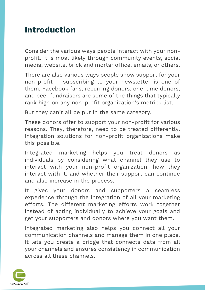## <span id="page-4-0"></span>**Introduction**

Consider the various ways people interact with your nonprofit. It is most likely through community events, social media, website, brick and mortar office, emails, or others.

There are also various ways people show support for your non-profit – subscribing to your newsletter is one of them. Facebook fans, recurring donors, one-time donors, and peer fundraisers are some of the things that typically rank high on any non-profit organization's metrics list.

But they can't all be put in the same category.

These donors offer to support your non-profit for various reasons. They, therefore, need to be treated differently. Integration solutions for non-profit organizations make this possible.

Integrated marketing helps you treat donors as individuals by considering what channel they use to interact with your non-profit organization, how they interact with it, and whether their support can continue and also increase in the process.

It gives your donors and supporters a seamless experience through the integration of all your marketing efforts. The different marketing efforts work together instead of acting individually to achieve your goals and get your supporters and donors where you want them.

Integrated marketing also helps you connect all your communication channels and manage them in one place. It lets you create a bridge that connects data from all your channels and ensures consistency in communication across all these channels.

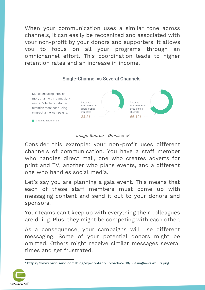When your communication uses a similar tone across channels, it can easily be recognized and associated with your non-profit by your donors and supporters. It allows you to focus on all your programs through an omnichannel effort. This coordination leads to higher retention rates and an increase in income.

#### Marketers using three or more channels in campaigns Customer Customer earn 90% higher customer retention rate for retention rate for retention than those using single-channel three or more single-channel campaigns. marketers channels 34.8% 66.12% Customer retention rate

### **Single-Channel vs Several Channels**

#### Image Source: Omnisend 3

Consider this example: your non-profit uses different channels of communication. You have a staff member who handles direct mail, one who creates adverts for print and TV, another who plans events, and a different one who handles social media.

Let's say you are planning a gala event. This means that each of these staff members must come up with messaging content and send it out to your donors and sponsors.

Your teams can't keep up with everything their colleagues are doing. Plus, they might be competing with each other.

As a consequence, your campaigns will use different messaging. Some of your potential donors might be omitted. Others might receive similar messages several times and get frustrated.

<sup>3</sup> <https://www.omnisend.com/blog/wp-content/uploads/2018/05/single-vs-multi.png>

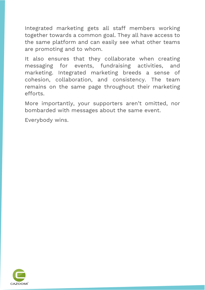Integrated marketing gets all staff members working together towards a common goal. They all have access to the same platform and can easily see what other teams are promoting and to whom.

It also ensures that they collaborate when creating messaging for events, fundraising activities, and marketing. Integrated marketing breeds a sense of cohesion, collaboration, and consistency. The team remains on the same page throughout their marketing efforts.

More importantly, your supporters aren't omitted, nor bombarded with messages about the same event.

Everybody wins.

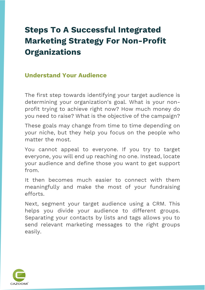# <span id="page-7-0"></span>**Steps To A Successful Integrated Marketing Strategy For Non-Profit Organizations**

### **Understand Your Audience**

The first step towards identifying your target audience is determining your organization's goal. What is your nonprofit trying to achieve right now? How much money do you need to raise? What is the objective of the campaign?

These goals may change from time to time depending on your niche, but they help you focus on the people who matter the most.

You cannot appeal to everyone. If you try to target everyone, you will end up reaching no one. Instead, locate your audience and define those you want to get support from.

It then becomes much easier to connect with them meaningfully and make the most of your fundraising efforts.

Next, segment your target audience using a CRM. This helps you divide your audience to different groups. Separating your contacts by lists and tags allows you to send relevant marketing messages to the right groups easily.

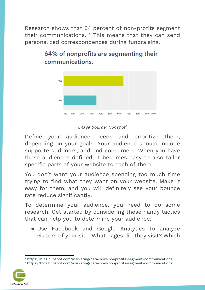Research shows that 64 percent of non-profits segment their communications. <sup>4</sup> This means that they can send personalized correspondences during fundraising.



## 64% of nonprofits are segmenting their communications.

### Image Source: Hubspot<sup>5</sup>

Define your audience needs and prioritize them, depending on your goals. Your audience should include supporters, donors, and end consumers. When you have these audiences defined, it becomes easy to also tailor specific parts of your website to each of them.

You don't want your audience spending too much time trying to find what they want on your website. Make it easy for them, and you will definitely see your bounce rate reduce significantly.

To determine your audience, you need to do some research. Get started by considering these handy tactics that can help you to determine your audience:

● Use Facebook and Google Analytics to analyze visitors of your site. What pages did they visit? Which

<sup>5</sup> <https://blog.hubspot.com/marketing/data-how-nonprofits-segment-communications>



<sup>4</sup> <https://blog.hubspot.com/marketing/data-how-nonprofits-segment-communications>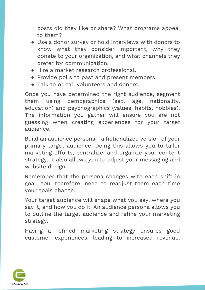posts did they like or share? What programs appeal to them?

- Use a donor survey or hold interviews with donors to know what they consider important, why they donate to your organization, and what channels they prefer for communication.
- Hire a market research professional.
- Provide polls to past and present members.
- Talk to or call volunteers and donors.

Once you have determined the right audience, segment them using demographics (sex, age, nationality, education) and psychographics (values, habits, hobbies). The information you gather will ensure you are not guessing when creating experiences for your target audience.

Build an audience persona - a fictionalized version of your primary target audience. Doing this allows you to tailor marketing efforts, centralize, and organize your content strategy. It also allows you to adjust your messaging and website design.

Remember that the persona changes with each shift in goal. You, therefore, need to readjust them each time your goals change.

Your target audience will shape what you say, where you say it, and how you do it. An audience persona allows you to outline the target audience and refine your marketing strategy.

Having a refined marketing strategy ensures good customer experiences, leading to increased revenue.

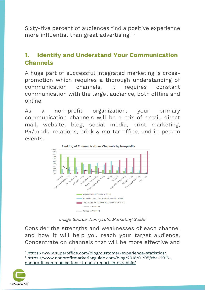Sixty-five percent of audiences find a positive experience more influential than great advertising. <sup>6</sup>

## **1. Identify and Understand Your Communication Channels**

A huge part of successful integrated marketing is crosspromotion which requires a thorough understanding of communication channels. It requires constant communication with the target audience, both offline and online.

As a non-profit organization, your primary communication channels will be a mix of email, direct mail, website, blog, social media, print marketing, PR/media relations, brick & mortar office, and in-person events.



Image Source: Non-profit Marketing Guide 7

Consider the strengths and weaknesses of each channel and how it will help you reach your target audience. Concentrate on channels that will be more effective and

<sup>7</sup> [https://www.nonprofitmarketingguide.com/blog/2016/01/05/the-2016](https://www.nonprofitmarketingguide.com/blog/2016/01/05/the-2016-nonprofit-communications-trends-report-infographic/) [nonprofit-communications-trends-report-infographic/](https://www.nonprofitmarketingguide.com/blog/2016/01/05/the-2016-nonprofit-communications-trends-report-infographic/)



<sup>6</sup> <https://www.superoffice.com/blog/customer-experience-statistics/>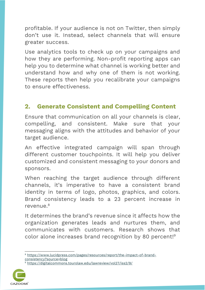profitable. If your audience is not on Twitter, then simply don't use it. Instead, select channels that will ensure greater success.

Use analytics tools to check up on your campaigns and how they are performing. Non-profit reporting apps can help you to determine what channel is working better and understand how and why one of them is not working. These reports then help you recalibrate your campaigns to ensure effectiveness.

## **2. Generate Consistent and Compelling Content**

Ensure that communication on all your channels is clear, compelling, and consistent. Make sure that your messaging aligns with the attitudes and behavior of your target audience.

An effective integrated campaign will span through different customer touchpoints. It will help you deliver customized and consistent messaging to your donors and sponsors.

When reaching the target audience through different channels, it's imperative to have a consistent brand identity in terms of logo, photos, graphics, and colors. Brand consistency leads to a 23 percent increase in  $r$ evenue  $8$ 

It determines the brand's revenue since it affects how the organization generates leads and nurtures them, and communicates with customers. Research shows that color alone increases brand recognition by 80 percent! 9

<sup>9</sup> <https://digitalcommons.tourolaw.edu/lawreview/vol27/iss2/9/>



<sup>8</sup> [https://www.lucidpress.com/pages/resources/report/the-impact-of-brand](https://www.lucidpress.com/pages/resources/report/the-impact-of-brand-consistency?source=blog)[consistency?source=blog](https://www.lucidpress.com/pages/resources/report/the-impact-of-brand-consistency?source=blog)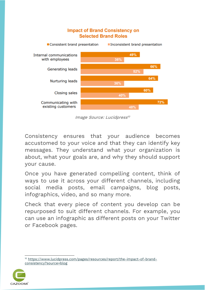#### **Impact of Brand Consistency on Selected Brand Roles**



Image Source: Lucidpress 10

Consistency ensures that your audience becomes accustomed to your voice and that they can identify key messages. They understand what your organization is about, what your goals are, and why they should support your cause.

Once you have generated compelling content, think of ways to use it across your different channels, including social media posts, email campaigns, blog posts, infographics, video, and so many more.

Check that every piece of content you develop can be repurposed to suit different channels. For example, you can use an infographic as different posts on your Twitter or Facebook pages.

<sup>&</sup>lt;sup>10</sup> [https://www.lucidpress.com/pages/resources/report/the-impact-of-brand](https://www.lucidpress.com/pages/resources/report/the-impact-of-brand-consistency?source=blog)[consistency?source=blog](https://www.lucidpress.com/pages/resources/report/the-impact-of-brand-consistency?source=blog)

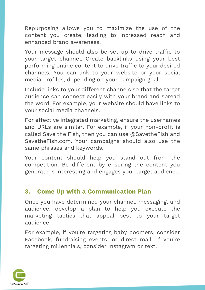Repurposing allows you to maximize the use of the content you create, leading to increased reach and enhanced brand awareness.

Your message should also be set up to drive traffic to your target channel. Create backlinks using your best performing online content to drive traffic to your desired channels. You can link to your website or your social media profiles, depending on your campaign goal.

Include links to your different channels so that the target audience can connect easily with your brand and spread the word. For example, your website should have links to your social media channels.

For effective integrated marketing, ensure the usernames and URLs are similar. For example, if your non-profit is called Save the Fish, then you can use @SavetheFish and SavetheFish.com. Your campaigns should also use the same phrases and keywords.

Your content should help you stand out from the competition. Be different by ensuring the content you generate is interesting and engages your target audience.

### **3. Come Up with a Communication Plan**

Once you have determined your channel, messaging, and audience, develop a plan to help you execute the marketing tactics that appeal best to your target audience.

For example, if you're targeting baby boomers, consider Facebook, fundraising events, or direct mail. If you're targeting millennials, consider Instagram or text.

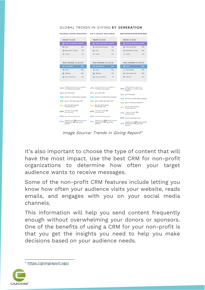#### **GLOBAL TRENDS IN GIVING BY GENERATION**

| <b>MILLENNIAL DONORS WORLDWIDE</b>                                                      | <b>GEN X DONORS WORLDWIDE</b>                                                           | <b>BABY BOOMER DONORS WORLDWIDE</b>                                                  |
|-----------------------------------------------------------------------------------------|-----------------------------------------------------------------------------------------|--------------------------------------------------------------------------------------|
| <b>PREFER TO GIVE</b>                                                                   | <b>PREFER TO GIVE</b>                                                                   | <b>PREFER TO GIVE</b>                                                                |
| Online (credit/debit card) 55%                                                          | Online (credit/debit card) 55%                                                          | Online (credit/debit card) 54%                                                       |
| 14%<br><b>Foll</b> Cash                                                                 | 11 Bank/Wire Transfer<br>12%                                                            | <b>ES</b> Direct Mail/Post<br>19%                                                    |
| <b>Bank/Wire Transfer</b><br>11%<br>fft.                                                | 10%<br><b>ISI</b> Cash                                                                  | fft Bank/Wire Transfer<br>10%                                                        |
| 9%<br>PayPal<br>в                                                                       | <b>B</b> PayPal<br>10%                                                                  | 8%<br><b>图 PayPal</b>                                                                |
| <b>MOST INSPIRED TO GIVE BY</b>                                                         | <b>MOST INSPIRED TO GIVE BY</b>                                                         | <b>MOST INSPIRED TO GIVE BY</b>                                                      |
| <b>Social Media</b><br>39%                                                              | <b>Social Media</b><br>33%                                                              | 33%<br><b>Email</b>                                                                  |
| 23%<br>Email                                                                            | 26%<br>Email                                                                            | Social Media<br>19%                                                                  |
| 20%<br>Website                                                                          | 19%<br>Website                                                                          | <b>Direct Mail/Post</b><br>18%                                                       |
| Direct Mail/Post<br>6%                                                                  | Direct Mail/Post<br>0%                                                                  | Website<br>16%                                                                       |
| 40% of Millennial donors are enrolled in<br>40% a monthly giving program                | 49% of Gen X donors are enrolled in a<br>49% monthly giving program                     | of Baby Boomer donors are<br>49% enrolled in a monthly giving<br>program             |
| 26% give tribute gifts                                                                  | 31% give tribute gifts                                                                  | 41% give tribute gifts                                                               |
| 46% donate to crowdfunding campaigns                                                    | 45% donate to crowdfunding campaigns                                                    | 35% donate to crowdfunding campaigns                                                 |
| 15% gave on #GivingTuesday 2017                                                         | 14% gave on #GivingTuesday 2017                                                         | 15% gave on #GivingTuesday 2017                                                      |
| give through Facebook<br>16%<br><b>Fundraising Tools</b>                                | give through Facebook<br><b>Fundraising Tools</b>                                       | give through Facebook<br>21%<br><b>Fundraising Tools</b>                             |
| 64% volunteer locally, 9%                                                               | 64% volunteer locally, 8%                                                               | volunteer locally, 9%<br>71%<br>internationally                                      |
| 55% attend fundraising events                                                           | 56% attend fundraising events                                                           | 58% attend fundraising events                                                        |
| regularly vote, 32% attend marches<br>87%<br>and protests, 73% sign online<br>petitions | regularly vote, 26% attend marches<br>91%<br>and protests, 72% sign online<br>petitions | regularly vote, 24% attend marches<br>96% and protests, 71% sign online<br>petitions |

Image Source: Trends in Giving Report 11

It's also important to choose the type of content that will have the most impact. Use the best CRM for non-profit organizations to determine how often your target audience wants to receive messages.

Some of the non-profit CRM features include letting you know how often your audience visits your website, reads emails, and engages with you on your social media channels.

This information will help you send content frequently enough without overwhelming your donors or sponsors. One of the benefits of using a CRM for your non-profit is that you get the insights you need to help you make decisions based on your audience needs.

<sup>11</sup> <https://givingreport.ngo/>

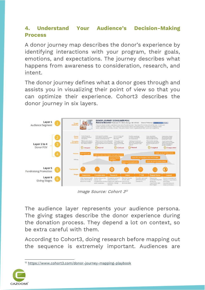### **4. Understand Your Audience's Decision-Making Process**

A donor journey map describes the donor's experience by identifying interactions with your program, their goals, emotions, and expectations. The journey describes what happens from awareness to consideration, research, and intent.

The donor journey defines what a donor goes through and assists you in visualizing their point of view so that you can optimize their experience. Cohort3 describes the donor journey in six layers.



Image Source: Cohort 3 12

The audience layer represents your audience persona. The giving stages describe the donor experience during the donation process. They depend a lot on context, so be extra careful with them.

According to Cohort3, doing research before mapping out the sequence is extremely important. Audiences are

<sup>12</sup> <https://www.cohort3.com/donor-journey-mapping-playbook>

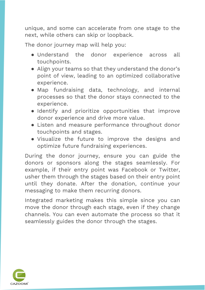unique, and some can accelerate from one stage to the next, while others can skip or loopback.

The donor journey map will help you:

- Understand the donor experience across all touchpoints.
- Align your teams so that they understand the donor's point of view, leading to an optimized collaborative experience.
- Map fundraising data, technology, and internal processes so that the donor stays connected to the experience.
- Identify and prioritize opportunities that improve donor experience and drive more value.
- Listen and measure performance throughout donor touchpoints and stages.
- Visualize the future to improve the designs and optimize future fundraising experiences.

During the donor journey, ensure you can guide the donors or sponsors along the stages seamlessly. For example, if their entry point was Facebook or Twitter, usher them through the stages based on their entry point until they donate. After the donation, continue your messaging to make them recurring donors.

Integrated marketing makes this simple since you can move the donor through each stage, even if they change channels. You can even automate the process so that it seamlessly guides the donor through the stages.

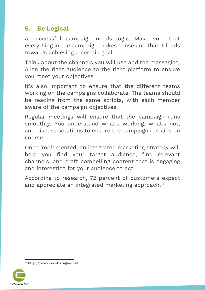### **5. Be Logical**

A successful campaign needs logic. Make sure that everything in the campaign makes sense and that it leads towards achieving a certain goal.

Think about the channels you will use and the messaging. Align the right audience to the right platform to ensure you meet your objectives.

It's also important to ensure that the different teams working on the campaigns collaborate. The teams should be reading from the same scripts, with each member aware of the campaign objectives.

Regular meetings will ensure that the campaign runs smoothly. You understand what's working, what's not, and discuss solutions to ensure the campaign remains on course.

Once implemented, an integrated marketing strategy will help you find your target audience, find relevant channels, and craft compelling content that is engaging and interesting for your audience to act.

According to research, 72 percent of customers expect and appreciate an integrated marketing approach.<sup>13</sup>

<sup>13</sup> [http://www.imcstrategies.net](http://www.imcstrategies.net/)

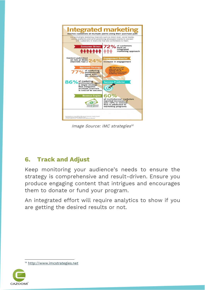

Image Source: IMC strategies 14

## **6. Track and Adjust**

Keep monitoring your audience's needs to ensure the strategy is comprehensive and result-driven. Ensure you produce engaging content that intrigues and encourages them to donate or fund your program.

An integrated effort will require analytics to show if you are getting the desired results or not.

<sup>14</sup> [http://www.imcstrategies.net](http://www.imcstrategies.net/)

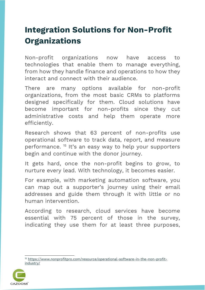## <span id="page-19-0"></span>**Integration Solutions for Non-Profit Organizations**

Non-profit organizations now have access to technologies that enable them to manage everything, from how they handle finance and operations to how they interact and connect with their audience.

There are many options available for non-profit organizations, from the most basic CRMs to platforms designed specifically for them. Cloud solutions have become important for non-profits since they cut administrative costs and help them operate more efficiently.

Research shows that 63 percent of non-profits use operational software to track data, report, and measure performance.<sup>15</sup> It's an easy way to help your supporters begin and continue with the donor journey.

It gets hard, once the non-profit begins to grow, to nurture every lead. With technology, it becomes easier.

For example, with marketing automation software, you can map out a supporter's journey using their email addresses and guide them through it with little or no human intervention.

According to research, cloud services have become essential with 75 percent of those in the survey, indicating they use them for at least three purposes,

<sup>15</sup> [https://www.nonprofitpro.com/resource/operational-software-in-the-non-profit](https://www.nonprofitpro.com/resource/operational-software-in-the-non-profit-industry/)[industry/](https://www.nonprofitpro.com/resource/operational-software-in-the-non-profit-industry/)

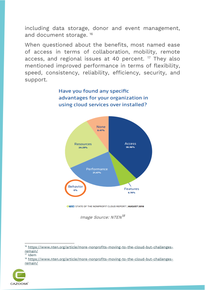including data storage, donor and event management, and document storage.<sup>16</sup>

When questioned about the benefits, most named ease of access in terms of collaboration, mobility, remote access, and regional issues at 40 percent. <sup>17</sup> They also mentioned improved performance in terms of flexibility, speed, consistency, reliability, efficiency, security, and support.





**OFFEN STATE OF THE NONPROFIT CLOUD REPORT | AUGUST 2018** 

Image Source: NTEN $^{\rm 18}$ 

<sup>&</sup>lt;sup>18</sup> [https://www.nten.org/article/more-nonprofits-moving-to-the-cloud-but-challenges](https://www.nten.org/article/more-nonprofits-moving-to-the-cloud-but-challenges-remain/)[remain/](https://www.nten.org/article/more-nonprofits-moving-to-the-cloud-but-challenges-remain/)



<sup>16</sup> [https://www.nten.org/article/more-nonprofits-moving-to-the-cloud-but-challenges](https://www.nten.org/article/more-nonprofits-moving-to-the-cloud-but-challenges-remain/)[remain/](https://www.nten.org/article/more-nonprofits-moving-to-the-cloud-but-challenges-remain/)

 $17$  Idem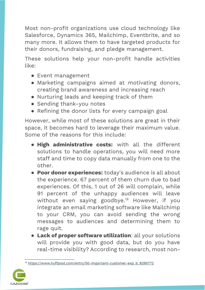Most non-profit organizations use cloud technology like Salesforce, Dynamics 365, Mailchimp, Eventbrite, and so many more. It allows them to have targeted products for their donors, fundraising, and pledge management.

These solutions help your non-profit handle activities like:

- Event management
- Marketing campaigns aimed at motivating donors, creating brand awareness and increasing reach
- Nurturing leads and keeping track of them
- Sending thank-you notes
- Refining the donor lists for every campaign goal

However, while most of these solutions are great in their space, it becomes hard to leverage their maximum value. Some of the reasons for this include:

- **High administrative costs:** with all the different solutions to handle operations, you will need more staff and time to copy data manually from one to the other.
- **Poor donor experiences:** today's audience is all about the experience. 67 percent of them churn due to bad experiences. Of this, 1 out of 26 will complain, while 91 percent of the unhappy audiences will leave without even saying goodbye.<sup>19</sup> However, if you integrate an email marketing software like Mailchimp to your CRM, you can avoid sending the wrong messages to audiences and determining them to rage quit.
- **Lack of proper software utilization**: all your solutions will provide you with good data, but do you have real-time visibility? According to research, most non-

<sup>&</sup>lt;sup>19</sup> [https://www.huffpost.com/entry/50-important-customer-exp\\_b\\_8295772](https://www.huffpost.com/entry/50-important-customer-exp_b_8295772)

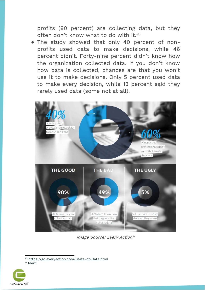profits (90 percent) are collecting data, but they often don't know what to do with it.<sup>20</sup>

● The study showed that only 40 percent of nonprofits used data to make decisions, while 46 percent didn't. Forty-nine percent didn't know how the organization collected data. If you don't know how data is collected, chances are that you won't use it to make decisions. Only 5 percent used data to make every decision, while 13 percent said they rarely used data (some not at all).



Image Source: Every Action 21

 $21$  Idem



<sup>20</sup> <https://go.everyaction.com/State-of-Data.html>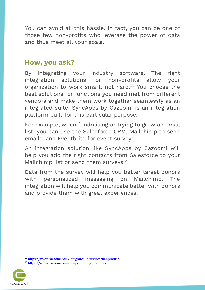You can avoid all this hassle. In fact, you can be one of those few non-profits who leverage the power of data and thus meet all your goals.

### **How, you ask?**

By integrating your industry software. The right integration solutions for non-profits allow your organization to work smart, not hard.<sup>22</sup> You choose the best solutions for functions you need met from different vendors and make them work together seamlessly as an integrated suite. SyncApps by Cazoomi is an integration platform built for this particular purpose.

For example, when fundraising or trying to grow an email list, you can use the Salesforce CRM, Mailchimp to send emails, and Eventbrite for event surveys.

An integration solution like SyncApps by Cazoomi will help you add the right contacts from Salesforce to your Mailchimp list or send them surveys.<sup>23</sup>

Data from the survey will help you better target donors with personalized messaging on Mailchimp. The integration will help you communicate better with donors and provide them with great experiences.

<sup>23</sup> <https://www.cazoomi.com/nonprofit-organizations/>



<sup>22</sup> <https://www.cazoomi.com/integrates-industries/nonprofits/>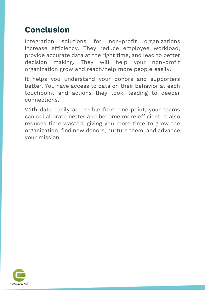## <span id="page-24-0"></span>**Conclusion**

Integration solutions for non-profit organizations increase efficiency. They reduce employee workload, provide accurate data at the right time, and lead to better decision making. They will help your non-profit organization grow and reach/help more people easily.

It helps you understand your donors and supporters better. You have access to data on their behavior at each touchpoint and actions they took, leading to deeper connections.

With data easily accessible from one point, your teams can collaborate better and become more efficient. It also reduces time wasted, giving you more time to grow the organization, find new donors, nurture them, and advance your mission.